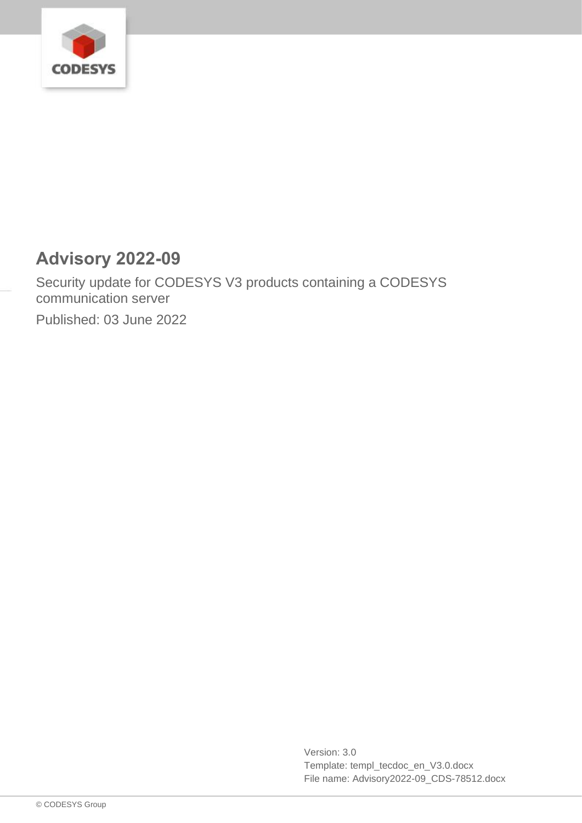

# **Advisory 2022-09**

Security update for CODESYS V3 products containing a CODESYS communication server

Published: 03 June 2022

Version: 3.0 Template: templ\_tecdoc\_en\_V3.0.docx File name: Advisory2022-09\_CDS-78512.docx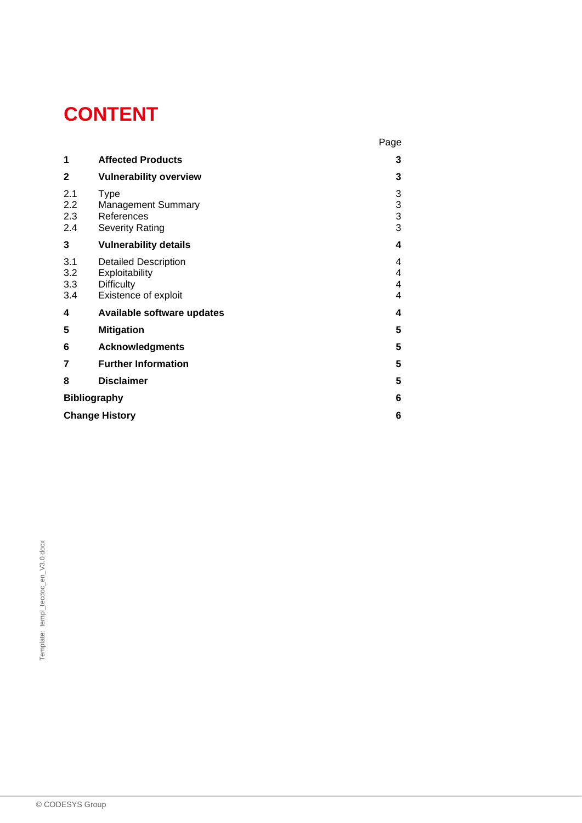# **CONTENT**

|                          |                                                                                            | Page                    |
|--------------------------|--------------------------------------------------------------------------------------------|-------------------------|
| 1                        | <b>Affected Products</b>                                                                   | 3                       |
| $\mathbf{2}$             | <b>Vulnerability overview</b>                                                              | 3                       |
| 2.1<br>2.2<br>2.3<br>2.4 | <b>Type</b><br><b>Management Summary</b><br>References<br><b>Severity Rating</b>           | 3<br>3<br>$\frac{3}{3}$ |
| 3                        | <b>Vulnerability details</b>                                                               | 4                       |
| 3.1<br>3.2<br>3.3<br>3.4 | <b>Detailed Description</b><br>Exploitability<br><b>Difficulty</b><br>Existence of exploit | 4<br>4<br>4<br>4        |
| 4                        | Available software updates                                                                 | 4                       |
| 5                        | <b>Mitigation</b>                                                                          | 5                       |
| 6                        | <b>Acknowledgments</b>                                                                     | 5                       |
| 7                        | <b>Further Information</b>                                                                 | 5                       |
| 8                        | <b>Disclaimer</b>                                                                          | 5                       |
| <b>Bibliography</b>      |                                                                                            | 6                       |
| <b>Change History</b>    |                                                                                            |                         |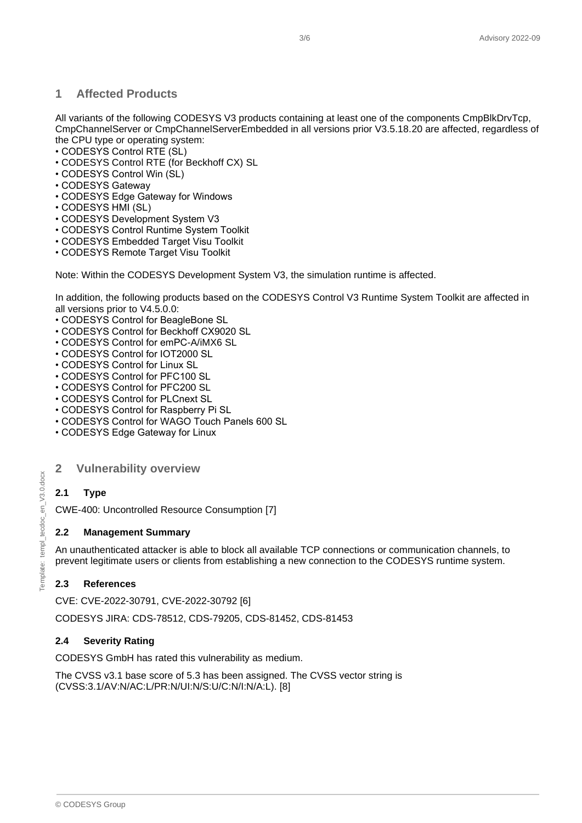# <span id="page-2-0"></span>**1 Affected Products**

All variants of the following CODESYS V3 products containing at least one of the components CmpBlkDrvTcp, CmpChannelServer or CmpChannelServerEmbedded in all versions prior V3.5.18.20 are affected, regardless of the CPU type or operating system:

- CODESYS Control RTE (SL)
- CODESYS Control RTE (for Beckhoff CX) SL
- CODESYS Control Win (SL)
- CODESYS Gateway
- CODESYS Edge Gateway for Windows
- CODESYS HMI (SL)
- CODESYS Development System V3
- CODESYS Control Runtime System Toolkit
- CODESYS Embedded Target Visu Toolkit
- CODESYS Remote Target Visu Toolkit

Note: Within the CODESYS Development System V3, the simulation runtime is affected.

In addition, the following products based on the CODESYS Control V3 Runtime System Toolkit are affected in all versions prior to V4.5.0.0:

- CODESYS Control for BeagleBone SL
- CODESYS Control for Beckhoff CX9020 SL
- CODESYS Control for emPC-A/iMX6 SL
- CODESYS Control for IOT2000 SL
- CODESYS Control for Linux SL
- CODESYS Control for PFC100 SL
- CODESYS Control for PFC200 SL
- CODESYS Control for PLCnext SL
- CODESYS Control for Raspberry Pi SL
- CODESYS Control for WAGO Touch Panels 600 SL
- <span id="page-2-1"></span>• CODESYS Edge Gateway for Linux

#### **2 Vulnerability overview**

# <span id="page-2-2"></span>**2.1 Type**

CWE-400: Uncontrolled Resource Consumption [7]

#### <span id="page-2-3"></span>**2.2 Management Summary**

An unauthenticated attacker is able to block all available TCP connections or communication channels, to prevent legitimate users or clients from establishing a new connection to the CODESYS runtime system.

#### <span id="page-2-4"></span>**2.3 References**

CVE: CVE-2022-30791, CVE-2022-30792 [6]

CODESYS JIRA: CDS-78512, CDS-79205, CDS-81452, CDS-81453

#### <span id="page-2-5"></span>**2.4 Severity Rating**

CODESYS GmbH has rated this vulnerability as medium.

The CVSS v3.1 base score of 5.3 has been assigned. The CVSS vector string is (CVSS:3.1/AV:N/AC:L/PR:N/UI:N/S:U/C:N/I:N/A:L). [8]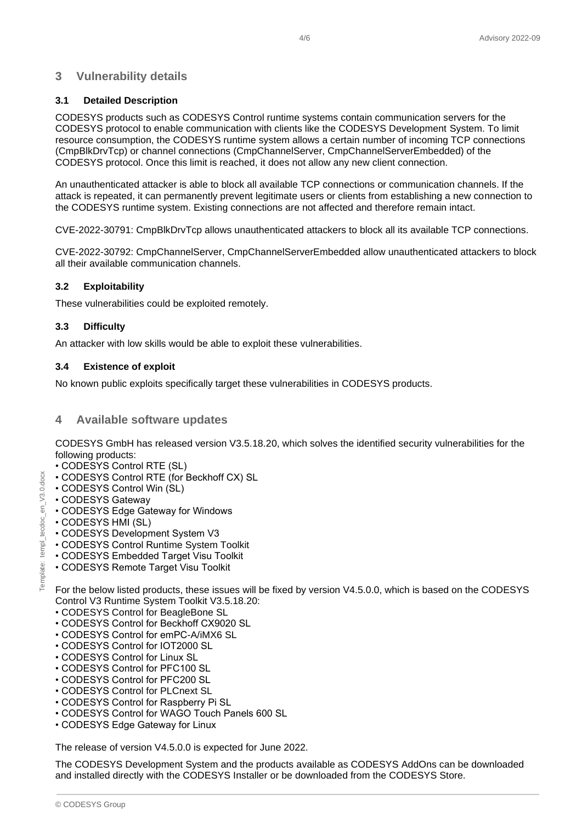# <span id="page-3-0"></span>**3 Vulnerability details**

#### <span id="page-3-1"></span>**3.1 Detailed Description**

CODESYS products such as CODESYS Control runtime systems contain communication servers for the CODESYS protocol to enable communication with clients like the CODESYS Development System. To limit resource consumption, the CODESYS runtime system allows a certain number of incoming TCP connections (CmpBlkDrvTcp) or channel connections (CmpChannelServer, CmpChannelServerEmbedded) of the CODESYS protocol. Once this limit is reached, it does not allow any new client connection.

An unauthenticated attacker is able to block all available TCP connections or communication channels. If the attack is repeated, it can permanently prevent legitimate users or clients from establishing a new connection to the CODESYS runtime system. Existing connections are not affected and therefore remain intact.

CVE-2022-30791: CmpBlkDrvTcp allows unauthenticated attackers to block all its available TCP connections.

CVE-2022-30792: CmpChannelServer, CmpChannelServerEmbedded allow unauthenticated attackers to block all their available communication channels.

#### <span id="page-3-2"></span>**3.2 Exploitability**

These vulnerabilities could be exploited remotely.

#### <span id="page-3-3"></span>**3.3 Difficulty**

An attacker with low skills would be able to exploit these vulnerabilities.

#### <span id="page-3-4"></span>**3.4 Existence of exploit**

<span id="page-3-5"></span>No known public exploits specifically target these vulnerabilities in CODESYS products.

#### **4 Available software updates**

CODESYS GmbH has released version V3.5.18.20, which solves the identified security vulnerabilities for the following products:

- CODESYS Control RTE (SL)
- CODESYS Control RTE (for Beckhoff CX) SL
- CODESYS Control Win (SL)
- CODESYS Gateway
- CODESYS Edge Gateway for Windows
- CODESYS HMI (SL)
- CODESYS Development System V3
- CODESYS Control Runtime System Toolkit
- CODESYS Embedded Target Visu Toolkit
- CODESYS Remote Target Visu Toolkit

For the below listed products, these issues will be fixed by version V4.5.0.0, which is based on the CODESYS Control V3 Runtime System Toolkit V3.5.18.20:

- CODESYS Control for BeagleBone SL
- CODESYS Control for Beckhoff CX9020 SL
- CODESYS Control for emPC-A/iMX6 SL
- CODESYS Control for IOT2000 SL
- CODESYS Control for Linux SL
- CODESYS Control for PFC100 SL
- CODESYS Control for PFC200 SL
- CODESYS Control for PLCnext SL
- CODESYS Control for Raspberry Pi SL
- CODESYS Control for WAGO Touch Panels 600 SL
- CODESYS Edge Gateway for Linux

The release of version V4.5.0.0 is expected for June 2022.

The CODESYS Development System and the products available as CODESYS AddOns can be downloaded and installed directly with the CODESYS Installer or be downloaded from the CODESYS Store.

 $en_V3.0.doc$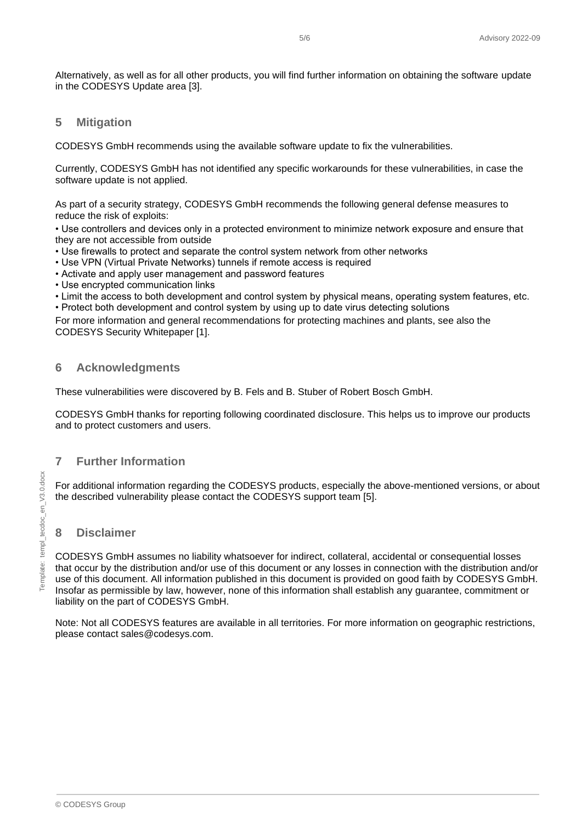Alternatively, as well as for all other products, you will find further information on obtaining the software update in the CODESYS Update area [3].

#### <span id="page-4-0"></span>**5 Mitigation**

CODESYS GmbH recommends using the available software update to fix the vulnerabilities.

Currently, CODESYS GmbH has not identified any specific workarounds for these vulnerabilities, in case the software update is not applied.

As part of a security strategy, CODESYS GmbH recommends the following general defense measures to reduce the risk of exploits:

• Use controllers and devices only in a protected environment to minimize network exposure and ensure that they are not accessible from outside

- Use firewalls to protect and separate the control system network from other networks
- Use VPN (Virtual Private Networks) tunnels if remote access is required
- Activate and apply user management and password features
- Use encrypted communication links
- Limit the access to both development and control system by physical means, operating system features, etc.

• Protect both development and control system by using up to date virus detecting solutions

For more information and general recommendations for protecting machines and plants, see also the CODESYS Security Whitepaper [1].

# <span id="page-4-1"></span>**6 Acknowledgments**

These vulnerabilities were discovered by B. Fels and B. Stuber of Robert Bosch GmbH.

CODESYS GmbH thanks for reporting following coordinated disclosure. This helps us to improve our products and to protect customers and users.

# <span id="page-4-2"></span>**7 Further Information**

For additional information regarding the CODESYS products, especially the above-mentioned versions, or about the described vulnerability please contact the CODESYS support team [5].

# <span id="page-4-3"></span>**8 Disclaimer**

CODESYS GmbH assumes no liability whatsoever for indirect, collateral, accidental or consequential losses that occur by the distribution and/or use of this document or any losses in connection with the distribution and/or use of this document. All information published in this document is provided on good faith by CODESYS GmbH. Insofar as permissible by law, however, none of this information shall establish any guarantee, commitment or liability on the part of CODESYS GmbH.

Note: Not all CODESYS features are available in all territories. For more information on geographic restrictions, please contact sales@codesys.com.